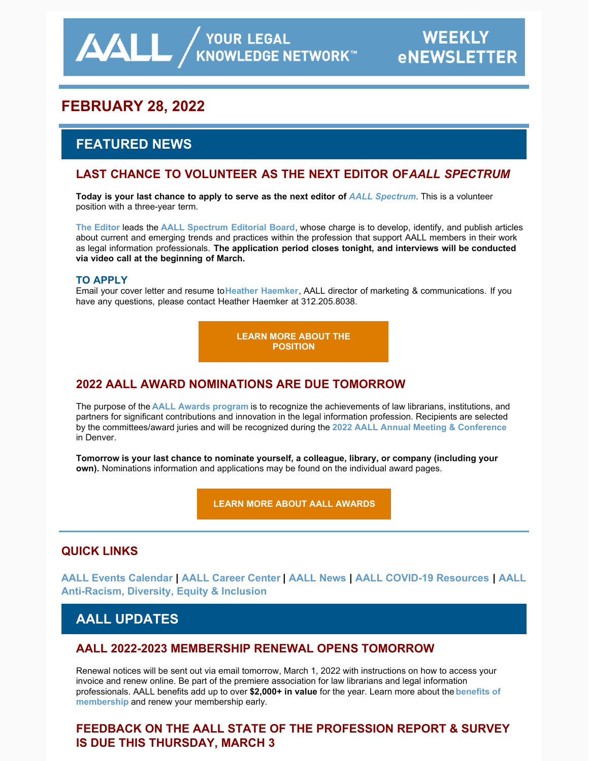**AALL** AND AND KNOWLEDGE NETWORK

# **FEBRUARY 28, 2022**

# **FEATURED NEWS**

## LAST CHANCE TO VOLUNTEER AS THE NEXT EDITOR OF *AALL SPECTRUM*

**Today is your last chance to apply to serve as the next editor of** *[AALL Spectrum](https://www.aallnet.org/resources-publications/publications/aall-spectrum/)*. This is a volunteer position with a three-year term.

**[The Editor](https://www.aallnet.org/resources-publications/publications/aall-spectrum/aall-spectrum-editor/)** leads the **[AALL Spectrum Editorial Board](https://www.aallnet.org/about-us/who-we-are/committees-juries/aall-spectrum-editorial-board/)**, whose charge is to develop, identify, and publish articles about current and emerging trends and practices within the profession that support AALL members in their work as legal information professionals. **The application period closes tonight, and interviews will be conducted via video call at the beginning of March.**

#### **TO APPLY**

Email your cover letter and resume to**[Heather Haemker](mailto:hhaemker@aall.org)**, AALL director of marketing & communications. If you have any questions, please contact Heather Haemker at 312.205.8038.

> **[LEARN MORE ABOUT THE](https://www.aallnet.org/resources-publications/publications/aall-spectrum/aall-spectrum-editor/) POSITION**

## **2022 AALL AWARD NOMINATIONS ARE DUE TOMORROW**

The purpose of the **[AALL Awards program](https://www.aallnet.org/community/recognition/awards-program/)** is to recognize the achievements of law librarians, institutions, and partners for significant contributions and innovation in the legal information profession. Recipients are selected by the committees/award juries and will be recognized during the **[2022 AALL Annual Meeting & Conference](https://www.aallnet.org/conference/)** in Denver.

**Tomorrow is your last chance to nominate yourself, a colleague, library, or company (including your own).** Nominations information and applications may be found on the individual award pages.

**[LEARN MORE ABOUT AALL AWARDS](https://www.aallnet.org/community/recognition/awards-program/)**

#### **QUICK LINKS**

**[AALL Events Calendar | AALL Career Center | AALL News | AALL COVID-19 Resources | AALL](https://www.aallnet.org/about-us/press-room/anti-racism-diversity-equity-inclusion/) Anti-Racism, Diversity, Equity & Inclusion**

## **AALL UPDATES**

#### **AALL 2022-2023 MEMBERSHIP RENEWAL OPENS TOMORROW**

Renewal notices will be sent out via email tomorrow, March 1, 2022 with instructions on how to access your invoice and renew online. Be part of the premiere association for law librarians and legal information [professionals. AALL benefits add up to over](https://www.aallnet.org/community/membership/benefits/) **\$2,000+ in value** for the year. Learn more about the **benefits of membership** and renew your membership early.

## **FEEDBACK ON THE AALL STATE OF THE PROFESSION REPORT & SURVEY IS DUE THIS THURSDAY, MARCH 3**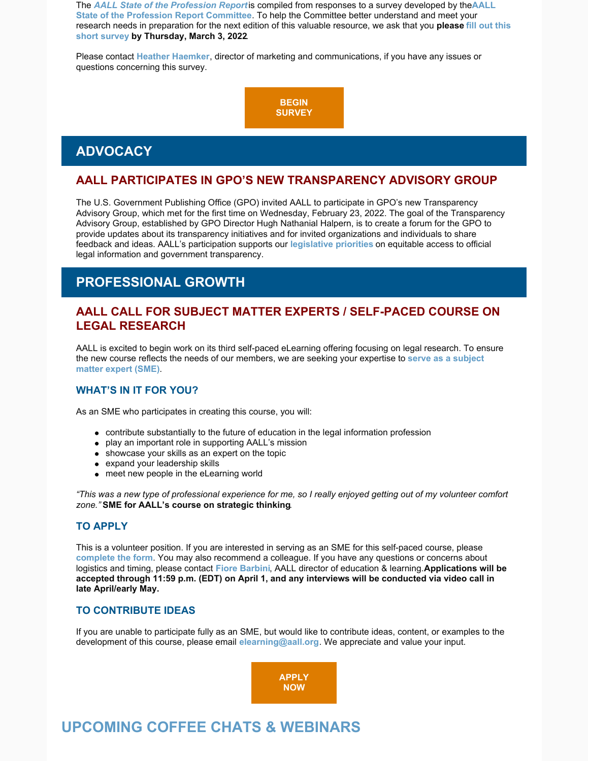The *AALL State of the [Profession](https://www.aallnet.org/resources-publications/publications/state-of-the-profession-survey/) Report*is compiled from responses to a survey developed by the**AALL State of the Profession Report Committee**. To help the Committee better understand and meet your research needs in [preparation](https://www.surveymonkey.com/r/HKRGBFS) for the next edition of this valuable resource, we ask that you **please fill out this short survey by Thursday, March 3, 2022**.

Please contact **Heather [Haemker](mailto:hhaemker@aall.org)**, director of marketing and communications, if you have any issues or questions concerning this survey.



## **ADVOCACY**

### **AALL PARTICIPATES IN GPO'S NEW TRANSPARENCY ADVISORY GROUP**

The U.S. Government Publishing Office (GPO) invited AALL to participate in GPO's new Transparency Advisory Group, which met for the first time on Wednesday, February 23, 2022. The goal of the Transparency Advisory Group, established by GPO Director Hugh Nathanial Halpern, is to create a forum for the GPO to provide updates about its transparency initiatives and for invited organizations and individuals to share feedback and ideas. AALL's participation supports our **[legislative](https://www.aallnet.org/advocacy/government-relations/federal-issues/legislative-priorities/) priorities** on equitable access to official legal information and government transparency.

# **PROFESSIONAL GROWTH**

#### **AALL CALL FOR SUBJECT MATTER EXPERTS / SELF-PACED COURSE ON LEGAL RESEARCH**

AALL is excited to begin work on its third self-paced eLearning offering focusing on legal research. To ensure the new course reflects the needs of our [members,](https://www.aallnet.org/wp-content/uploads/2022/02/Legal-Research-Call-for-SMEs_FINAL.pdf) we are seeking your expertise to **serve as a subject matter expert (SME)**.

#### **WHAT'S IN IT FOR YOU?**

As an SME who participates in creating this course, you will:

- contribute substantially to the future of education in the legal information profession
- play an important role in supporting AALL's mission
- showcase your skills as an expert on the topic
- expand your leadership skills
- meet new people in the eLearning world

"This was a new type of professional experience for me, so I really enjoyed getting out of my volunteer comfort *zone."* **SME for AALL's course on strategic thinking**.

#### **TO APPLY**

This is a volunteer position. If you are interested in serving as an SME for this self-paced course, please **[complete](https://www.aallnet.org/education-training/elearning/sme/) the form**. You may also recommend a colleague. If you have any questions or concerns about logistics and timing, please contact **Fiore [Barbini](mailto:fbarbini@aall.org)**, AALL director of education & learning.**Applications will be** accepted through 11:59 p.m. (EDT) on April 1, and any interviews will be conducted via video call in **late April/early May.**

#### **TO CONTRIBUTE IDEAS**

If you are unable to participate fully as an SME, but would like to contribute ideas, content, or examples to the development of this course, please email **[elearning@aall.org](mailto:elearning@aall.org)**. We appreciate and value your input.



# **UPCOMING COFFEE CHATS & WEBINARS**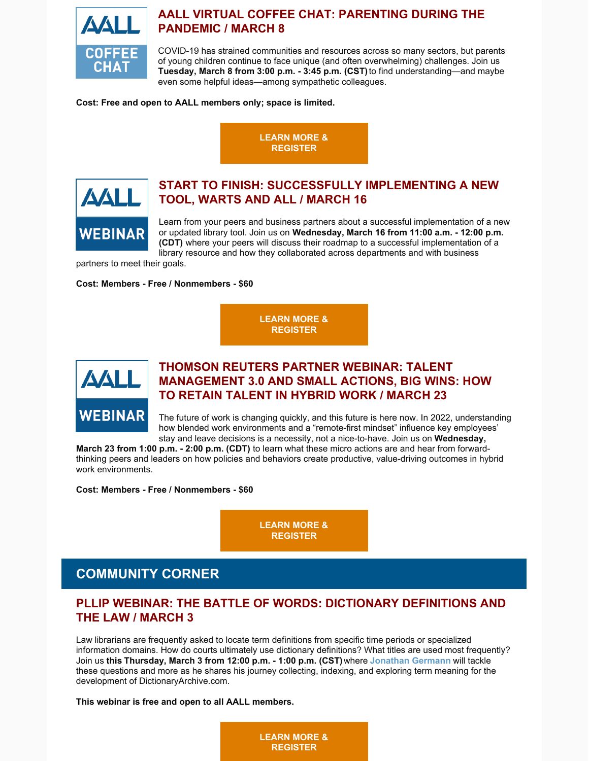

### **AALL VIRTUAL COFFEE CHAT: PARENTING DURING THE PANDEMIC / MARCH 8**

COVID-19 has strained communities and resources across so many sectors, but parents of young children continue to face unique (and often overwhelming) challenges. Join us **Tuesday, March 8 from 3:00 p.m. - 3:45 p.m. (CST)**to find understanding—and maybe even some helpful ideas—among sympathetic colleagues.

**Cost: Free and open to AALL members only; space is limited.**





## **START TO FINISH: SUCCESSFULLY IMPLEMENTING A NEW TOOL, WARTS AND ALL / MARCH 16**

Learn from your peers and business partners about a successful implementation of a new or updated library tool. Join us on **Wednesday, March 16 from 11:00 a.m. - 12:00 p.m. (CDT)** where your peers will discuss their roadmap to a successful implementation of a library resource and how they collaborated across departments and with business

partners to meet their goals.

#### **Cost: Members - Free / Nonmembers - \$60**

**LEARN MORE & [REGISTER](https://elearning.aallnet.org/products/start-to-finish-successfully-implementing-a-new-tool-warts-and-all)**



### **THOMSON REUTERS PARTNER WEBINAR: TALENT MANAGEMENT 3.0 AND SMALL ACTIONS, BIG WINS: HOW TO RETAIN TALENT IN HYBRID WORK / MARCH 23**

The future of work is changing quickly, and this future is here now. In 2022, understanding how blended work environments and a "remote-first mindset" influence key employees' stay and leave decisions is a necessity, not a nice-to-have. Join us on **Wednesday,**

**March 23 from 1:00 p.m. - 2:00 p.m. (CDT)** to learn what these micro actions are and hear from forwardthinking peers and leaders on how policies and behaviors create productive, value-driving outcomes in hybrid work environments.

**Cost: Members - Free / Nonmembers - \$60**

**LEARN MORE & [REGISTER](https://elearning.aallnet.org/products/talent-management-30-and-small-actions-big-wins-how-to-retain-talent-in-hybrid-work-thomson-reuters-partner-webinar)**

# **COMMUNITY CORNER**

#### **PLLIP WEBINAR: THE BATTLE OF WORDS: DICTIONARY DEFINITIONS AND THE LAW / MARCH 3**

Law librarians are frequently asked to locate term definitions from specific time periods or specialized information domains. How do courts ultimately use dictionary definitions? What titles are used most frequently? Join us **this Thursday, March 3 from 12:00 p.m. - 1:00 p.m. (CST)**where **[Jonathan](https://www.aallnet.org/members_only/membership/IndividualFormPublicMembers/detail?id=201001A279D) Germann** will tackle these questions and more as he shares his journey collecting, indexing, and exploring term meaning for the development of DictionaryArchive.com.

#### **This webinar is free and open to all AALL members.**

**LEARN MORE & [REGISTER](https://register.gotowebinar.com/register/7559249514873124619)**